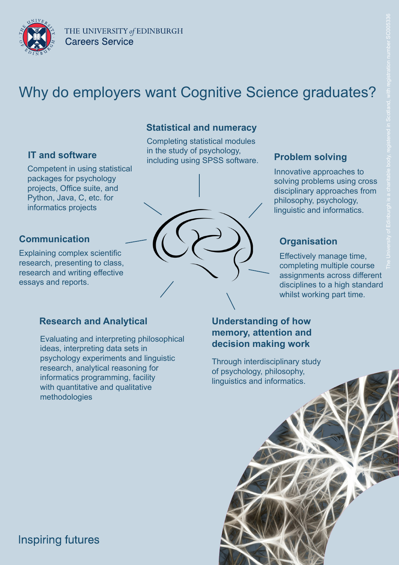

# Why do employers want Cognitive Science graduates?

Competent in using statistical packages for psychology projects, Office suite, and Python, Java, C, etc. for informatics projects

#### **Communication**

Explaining complex scientific research, presenting to class, research and writing effective essays and reports.

#### **Statistical and numeracy**

**IT and software Problem solving** in the stady of psychology, **Problem solving Problem** Completing statistical modules in the study of psychology,



Innovative approaches to solving problems using cross disciplinary approaches from philosophy, psychology, linguistic and informatics.

### **Organisation**

Effectively manage time, completing multiple course assignments across different disciplines to a high standard whilst working part time.

#### **Research and Analytical**

Evaluating and interpreting philosophical ideas, interpreting data sets in psychology experiments and linguistic research, analytical reasoning for informatics programming, facility with quantitative and qualitative methodologies

#### **Understanding of how memory, attention and decision making work**

Through interdisciplinary study of psychology, philosophy, linguistics and informatics.



### **Inspiring futures**